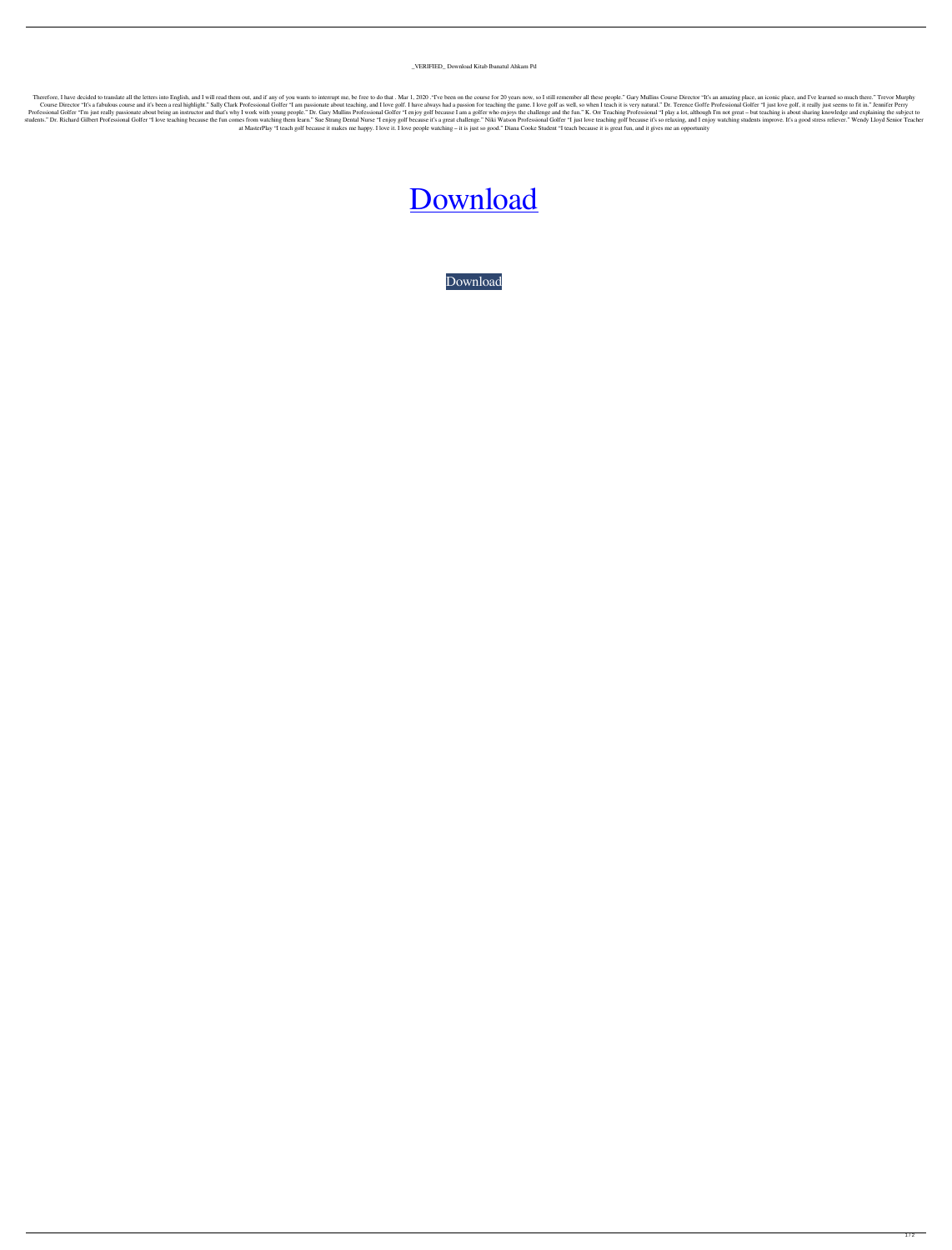## \_VERIFIED\_ Download Kitab Ibanatul Ahkam Pd

Therefore, I have decided to translate all the letters into English, and I will read them out, and if any of you wants to interrupt me, be free to do that. Mar 1, 2020. "Tve been on the course for 20 years now, so I still Course Director "It's a fabulous course and it's been a real highlight." Sally Clark Professional Golfer "I am passionate about teaching, and I love golf. I have always had a passion for teaching the game. I love golf as w Professional Golfer "I'm just really passionate about being an instructor and that's why I work with young people." Dr. Gary Mullins Professional Golfer "I enjoy golf because I am a golfer who enjoys the challenge and the students." Dr. Richard Gilbert Professional Golfer "I love teaching because the fun comes from watching them learn." Sue Strang Dental Nurse "I enjoy golf because it's a great challenge." Niki Watson Professional Golfer "I at MasterPlay "I teach golf because it makes me happy. I love it. I love people watching – it is just so good." Diana Cooke Student "I teach because it is great fun, and it gives me an opportunity

## [Download](https://ssurll.com/2kyzwp)

[Download](https://ssurll.com/2kyzwp)